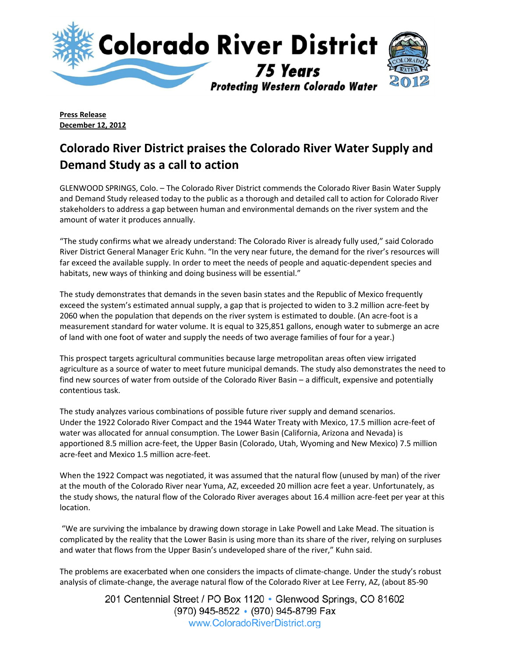

**Press Release December 12, 2012**

## **Colorado River District praises the Colorado River Water Supply and Demand Study as a call to action**

GLENWOOD SPRINGS, Colo. – The Colorado River District commends the Colorado River Basin Water Supply and Demand Study released today to the public as a thorough and detailed call to action for Colorado River stakeholders to address a gap between human and environmental demands on the river system and the amount of water it produces annually.

"The study confirms what we already understand: The Colorado River is already fully used," said Colorado River District General Manager Eric Kuhn. "In the very near future, the demand for the river's resources will far exceed the available supply. In order to meet the needs of people and aquatic-dependent species and habitats, new ways of thinking and doing business will be essential."

The study demonstrates that demands in the seven basin states and the Republic of Mexico frequently exceed the system's estimated annual supply, a gap that is projected to widen to 3.2 million acre-feet by 2060 when the population that depends on the river system is estimated to double. (An acre-foot is a measurement standard for water volume. It is equal to 325,851 gallons, enough water to submerge an acre of land with one foot of water and supply the needs of two average families of four for a year.)

This prospect targets agricultural communities because large metropolitan areas often view irrigated agriculture as a source of water to meet future municipal demands. The study also demonstrates the need to find new sources of water from outside of the Colorado River Basin – a difficult, expensive and potentially contentious task.

The study analyzes various combinations of possible future river supply and demand scenarios. Under the 1922 Colorado River Compact and the 1944 Water Treaty with Mexico, 17.5 million acre-feet of water was allocated for annual consumption. The Lower Basin (California, Arizona and Nevada) is apportioned 8.5 million acre-feet, the Upper Basin (Colorado, Utah, Wyoming and New Mexico) 7.5 million acre-feet and Mexico 1.5 million acre-feet.

When the 1922 Compact was negotiated, it was assumed that the natural flow (unused by man) of the river at the mouth of the Colorado River near Yuma, AZ, exceeded 20 million acre feet a year. Unfortunately, as the study shows, the natural flow of the Colorado River averages about 16.4 million acre-feet per year at this location.

"We are surviving the imbalance by drawing down storage in Lake Powell and Lake Mead. The situation is complicated by the reality that the Lower Basin is using more than its share of the river, relying on surpluses and water that flows from the Upper Basin's undeveloped share of the river," Kuhn said.

The problems are exacerbated when one considers the impacts of climate-change. Under the study's robust analysis of climate-change, the average natural flow of the Colorado River at Lee Ferry, AZ, (about 85-90

> 201 Centennial Street / PO Box 1120 • Glenwood Springs, CO 81602 (970) 945-8522 • (970) 945-8799 Fax www.ColoradoRiverDistrict.org